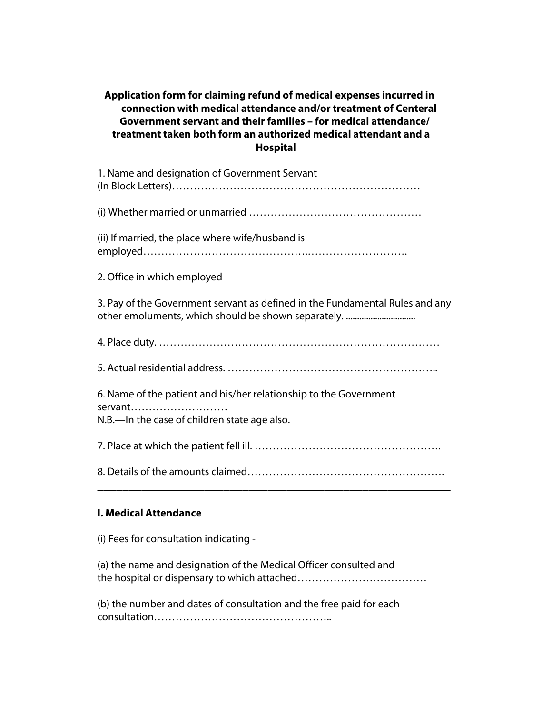# **Application form for claiming refund of medical expenses incurred in connection with medical attendance and/or treatment of Centeral Government servant and their families – for medical attendance/ treatment taken both form an authorized medical attendant and a Hospital**

| 1. Name and designation of Government Servant |  |
|-----------------------------------------------|--|
|                                               |  |

(i) Whether married or unmarried …………………………………………

(ii) If married, the place where wife/husband is employed……………………………………….……………………….

2. Office in which employed

3. Pay of the Government servant as defined in the Fundamental Rules and any other emoluments, which should be shown separately. ...............................

4. Place duty. ……………………………………………………………………

5. Actual residential address. …………………………………………………..

6. Name of the patient and his/her relationship to the Government servant……………………… N.B.—In the case of children state age also.

7. Place at which the patient fell ill. …………………………………………….

8. Details of the amounts claimed………………………………………………. \_\_\_\_\_\_\_\_\_\_\_\_\_\_\_\_\_\_\_\_\_\_\_\_\_\_\_\_\_\_\_\_\_\_\_\_\_\_\_\_\_\_\_\_\_\_\_\_\_\_\_\_\_\_\_\_

## **I. Medical Attendance**

(i) Fees for consultation indicating -

(a) the name and designation of the Medical Officer consulted and the hospital or dispensary to which attached………………………………

(b) the number and dates of consultation and the free paid for each consultation…………………………………………..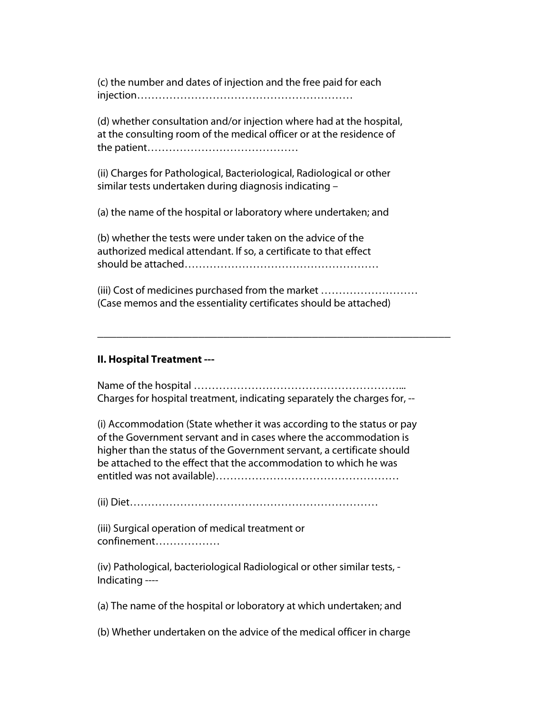(c) the number and dates of injection and the free paid for each injection……………………………………………………

(d) whether consultation and/or injection where had at the hospital, at the consulting room of the medical officer or at the residence of the patient……………………………………

(ii) Charges for Pathological, Bacteriological, Radiological or other similar tests undertaken during diagnosis indicating –

(a) the name of the hospital or laboratory where undertaken; and

(b) whether the tests were under taken on the advice of the authorized medical attendant. If so, a certificate to that effect should be attached………………………………………………

(iii) Cost of medicines purchased from the market ……………………… (Case memos and the essentiality certificates should be attached)

\_\_\_\_\_\_\_\_\_\_\_\_\_\_\_\_\_\_\_\_\_\_\_\_\_\_\_\_\_\_\_\_\_\_\_\_\_\_\_\_\_\_\_\_\_\_\_\_\_\_\_\_\_\_\_\_

#### **II. Hospital Treatment ---**

Name of the hospital …………………………………………………... Charges for hospital treatment, indicating separately the charges for, --

(i) Accommodation (State whether it was according to the status or pay of the Government servant and in cases where the accommodation is higher than the status of the Government servant, a certificate should be attached to the effect that the accommodation to which he was entitled was not available)……………………………………………

(ii) Diet……………………………………………………………

(iii) Surgical operation of medical treatment or confinement………………

(iv) Pathological, bacteriological Radiological or other similar tests, - Indicating ----

(a) The name of the hospital or loboratory at which undertaken; and

(b) Whether undertaken on the advice of the medical officer in charge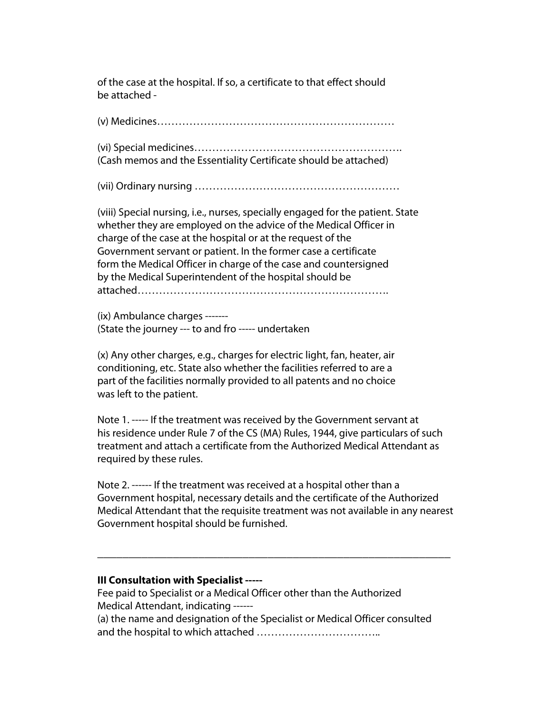of the case at the hospital. If so, a certificate to that effect should be attached -

(v) Medicines…………………………………………………………

(vi) Special medicines…………………………………………………. (Cash memos and the Essentiality Certificate should be attached)

(vii) Ordinary nursing …………………………………………………

(viii) Special nursing, i.e., nurses, specially engaged for the patient. State whether they are employed on the advice of the Medical Officer in charge of the case at the hospital or at the request of the Government servant or patient. In the former case a certificate form the Medical Officer in charge of the case and countersigned by the Medical Superintendent of the hospital should be attached…………………………………………………………….

(ix) Ambulance charges ------- (State the journey --- to and fro ----- undertaken

(x) Any other charges, e.g., charges for electric light, fan, heater, air conditioning, etc. State also whether the facilities referred to are a part of the facilities normally provided to all patents and no choice was left to the patient.

Note 1. ----- If the treatment was received by the Government servant at his residence under Rule 7 of the CS (MA) Rules, 1944, give particulars of such treatment and attach a certificate from the Authorized Medical Attendant as required by these rules.

Note 2. ------ If the treatment was received at a hospital other than a Government hospital, necessary details and the certificate of the Authorized Medical Attendant that the requisite treatment was not available in any nearest Government hospital should be furnished.

\_\_\_\_\_\_\_\_\_\_\_\_\_\_\_\_\_\_\_\_\_\_\_\_\_\_\_\_\_\_\_\_\_\_\_\_\_\_\_\_\_\_\_\_\_\_\_\_\_\_\_\_\_\_\_\_

#### **III Consultation with Specialist -----**

Fee paid to Specialist or a Medical Officer other than the Authorized Medical Attendant, indicating ------ (a) the name and designation of the Specialist or Medical Officer consulted and the hospital to which attached ……………………………..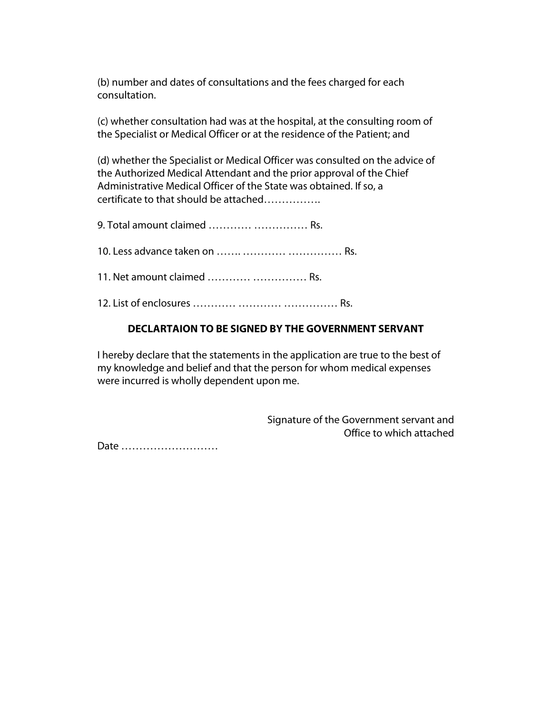(b) number and dates of consultations and the fees charged for each consultation.

(c) whether consultation had was at the hospital, at the consulting room of the Specialist or Medical Officer or at the residence of the Patient; and

(d) whether the Specialist or Medical Officer was consulted on the advice of the Authorized Medical Attendant and the prior approval of the Chief Administrative Medical Officer of the State was obtained. If so, a certificate to that should be attached…………….

9. Total amount claimed ………… …………… Rs.

10. Less advance taken on ……. ………… …………… Rs.

11. Net amount claimed ………… …………… Rs.

12. List of enclosures ………… ………… …………… Rs.

#### **DECLARTAION TO BE SIGNED BY THE GOVERNMENT SERVANT**

I hereby declare that the statements in the application are true to the best of my knowledge and belief and that the person for whom medical expenses were incurred is wholly dependent upon me.

> Signature of the Government servant and Office to which attached

Date ………………………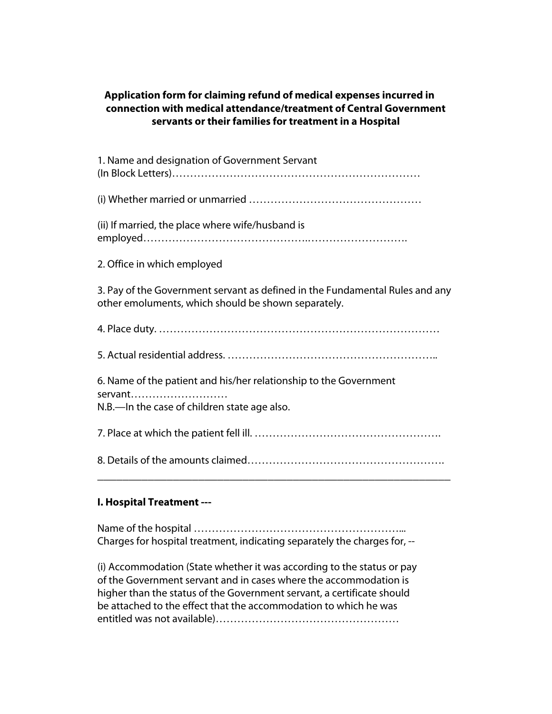# **Application form for claiming refund of medical expenses incurred in connection with medical attendance/treatment of Central Government servants or their families for treatment in a Hospital**

| 1. Name and designation of Government Servant                                                                                       |
|-------------------------------------------------------------------------------------------------------------------------------------|
|                                                                                                                                     |
| (ii) If married, the place where wife/husband is                                                                                    |
| 2. Office in which employed                                                                                                         |
| 3. Pay of the Government servant as defined in the Fundamental Rules and any<br>other emoluments, which should be shown separately. |
|                                                                                                                                     |
|                                                                                                                                     |
| 6. Name of the patient and his/her relationship to the Government<br>servant<br>N.B.—In the case of children state age also.        |
|                                                                                                                                     |
|                                                                                                                                     |

# **I. Hospital Treatment ---**

Name of the hospital …………………………………………………... Charges for hospital treatment, indicating separately the charges for, --

(i) Accommodation (State whether it was according to the status or pay of the Government servant and in cases where the accommodation is higher than the status of the Government servant, a certificate should be attached to the effect that the accommodation to which he was entitled was not available)……………………………………………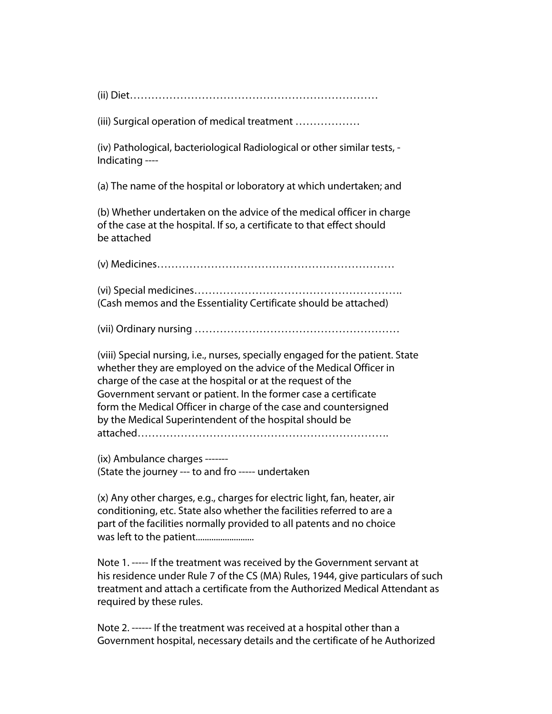(ii) Diet……………………………………………………………

(iii) Surgical operation of medical treatment ………………

(iv) Pathological, bacteriological Radiological or other similar tests, - Indicating ----

(a) The name of the hospital or loboratory at which undertaken; and

(b) Whether undertaken on the advice of the medical officer in charge of the case at the hospital. If so, a certificate to that effect should be attached

(v) Medicines…………………………………………………………

(vi) Special medicines…………………………………………………. (Cash memos and the Essentiality Certificate should be attached)

(vii) Ordinary nursing …………………………………………………

(viii) Special nursing, i.e., nurses, specially engaged for the patient. State whether they are employed on the advice of the Medical Officer in charge of the case at the hospital or at the request of the Government servant or patient. In the former case a certificate form the Medical Officer in charge of the case and countersigned by the Medical Superintendent of the hospital should be attached…………………………………………………………….

(ix) Ambulance charges ------- (State the journey --- to and fro ----- undertaken

(x) Any other charges, e.g., charges for electric light, fan, heater, air conditioning, etc. State also whether the facilities referred to are a part of the facilities normally provided to all patents and no choice was left to the patient..........................

Note 1. ----- If the treatment was received by the Government servant at his residence under Rule 7 of the CS (MA) Rules, 1944, give particulars of such treatment and attach a certificate from the Authorized Medical Attendant as required by these rules.

Note 2. ------ If the treatment was received at a hospital other than a Government hospital, necessary details and the certificate of he Authorized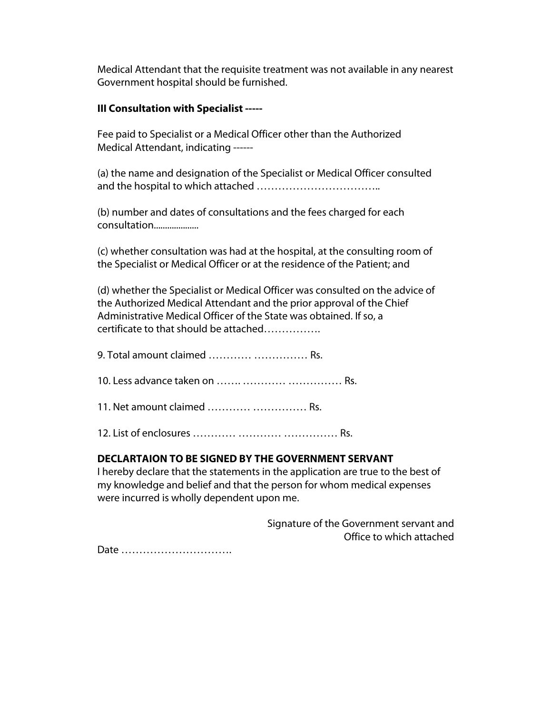Medical Attendant that the requisite treatment was not available in any nearest Government hospital should be furnished.

#### **III Consultation with Specialist -----**

Fee paid to Specialist or a Medical Officer other than the Authorized Medical Attendant, indicating ------

(a) the name and designation of the Specialist or Medical Officer consulted and the hospital to which attached ……………………………..

(b) number and dates of consultations and the fees charged for each consultation....................

(c) whether consultation was had at the hospital, at the consulting room of the Specialist or Medical Officer or at the residence of the Patient; and

(d) whether the Specialist or Medical Officer was consulted on the advice of the Authorized Medical Attendant and the prior approval of the Chief Administrative Medical Officer of the State was obtained. If so, a certificate to that should be attached…………….

| 9. Total amount claimed   Rs. |  |
|-------------------------------|--|
|                               |  |
| 11. Net amount claimed   Rs.  |  |
|                               |  |

## **DECLARTAION TO BE SIGNED BY THE GOVERNMENT SERVANT**

I hereby declare that the statements in the application are true to the best of my knowledge and belief and that the person for whom medical expenses were incurred is wholly dependent upon me.

> Signature of the Government servant and Office to which attached

Date ………………………….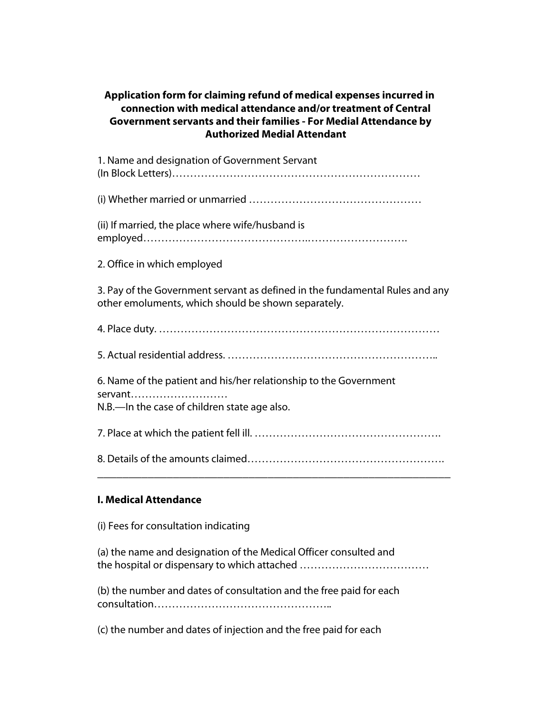# **Application form for claiming refund of medical expenses incurred in connection with medical attendance and/or treatment of Central Government servants and their families - For Medial Attendance by Authorized Medial Attendant**

1. Name and designation of Government Servant (In Block Letters)…………………………………………………………… (i) Whether married or unmarried ………………………………………… (ii) If married, the place where wife/husband is employed……………………………………….………………………. 2. Office in which employed

3. Pay of the Government servant as defined in the fundamental Rules and any other emoluments, which should be shown separately.

4. Place duty. ……………………………………………………………………

5. Actual residential address. …………………………………………………..

6. Name of the patient and his/her relationship to the Government servant……………………… N.B.—In the case of children state age also.

7. Place at which the patient fell ill. …………………………………………….

8. Details of the amounts claimed………………………………………………. \_\_\_\_\_\_\_\_\_\_\_\_\_\_\_\_\_\_\_\_\_\_\_\_\_\_\_\_\_\_\_\_\_\_\_\_\_\_\_\_\_\_\_\_\_\_\_\_\_\_\_\_\_\_\_\_

# **I. Medical Attendance**

(i) Fees for consultation indicating

(a) the name and designation of the Medical Officer consulted and the hospital or dispensary to which attached ………………………………

(b) the number and dates of consultation and the free paid for each consultation…………………………………………..

(c) the number and dates of injection and the free paid for each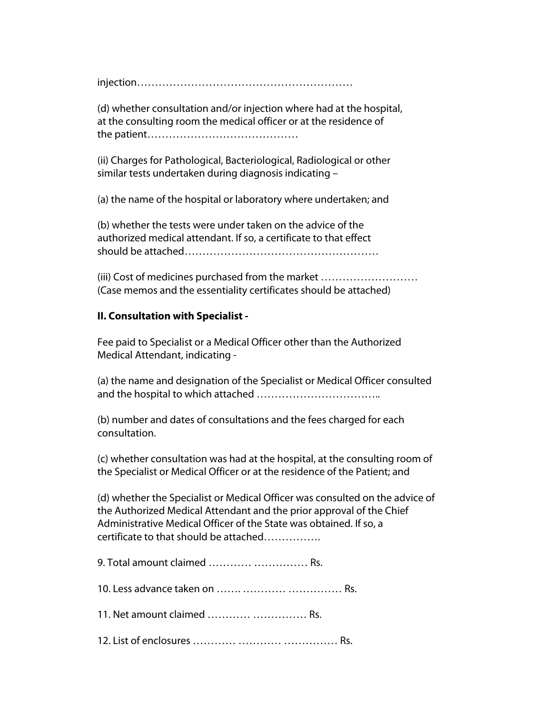injection……………………………………………………

(d) whether consultation and/or injection where had at the hospital, at the consulting room the medical officer or at the residence of the patient……………………………………

(ii) Charges for Pathological, Bacteriological, Radiological or other similar tests undertaken during diagnosis indicating –

(a) the name of the hospital or laboratory where undertaken; and

(b) whether the tests were under taken on the advice of the authorized medical attendant. If so, a certificate to that effect should be attached………………………………………………

(iii) Cost of medicines purchased from the market ……………………… (Case memos and the essentiality certificates should be attached)

## **II. Consultation with Specialist -**

Fee paid to Specialist or a Medical Officer other than the Authorized Medical Attendant, indicating -

(a) the name and designation of the Specialist or Medical Officer consulted and the hospital to which attached ……………………………..

(b) number and dates of consultations and the fees charged for each consultation.

(c) whether consultation was had at the hospital, at the consulting room of the Specialist or Medical Officer or at the residence of the Patient; and

(d) whether the Specialist or Medical Officer was consulted on the advice of the Authorized Medical Attendant and the prior approval of the Chief Administrative Medical Officer of the State was obtained. If so, a certificate to that should be attached…………….

| 9. Total amount claimed   Rs. |  |
|-------------------------------|--|
|                               |  |
| 11. Net amount claimed   Rs.  |  |
|                               |  |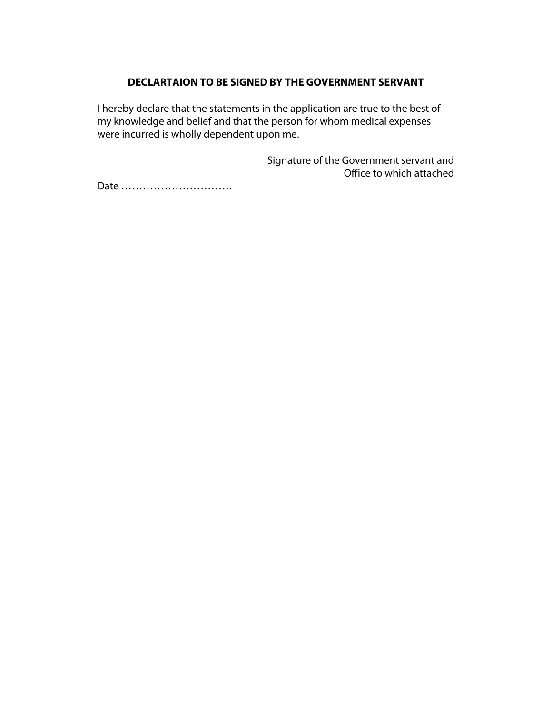#### **DECLARTAION TO BE SIGNED BY THE GOVERNMENT SERVANT**

I hereby declare that the statements in the application are true to the best of my knowledge and belief and that the person for whom medical expenses were incurred is wholly dependent upon me.

> Signature of the Government servant and Office to which attached

Date ………………………….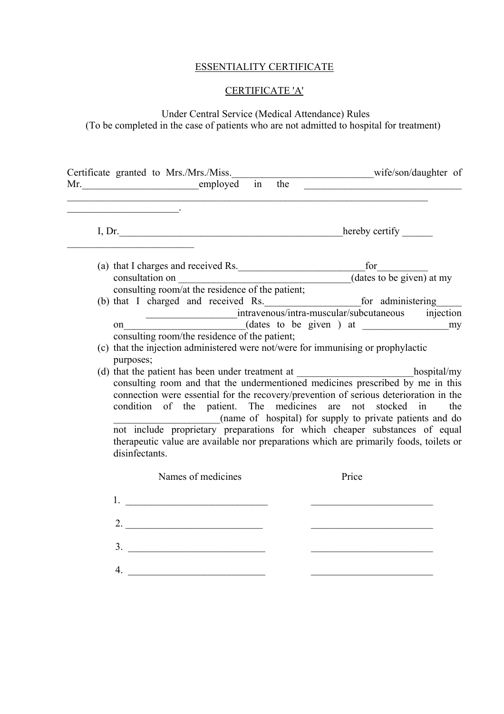# ESSENTIALITY CERTIFICATE

# CERTIFICATE 'A'

# Under Central Service (Medical Attendance) Rules (To be completed in the case of patients who are not admitted to hospital for treatment)

| Certificate granted to Mrs./Mrs./Miss.____________________________wife/son/daughter of |                                                                                                                                                                                                                                                                                                                                                                                                                                                                                                                                                                           | the | <u> 1989 - Johann Barbara, martxa amerikan personal (</u> |     |
|----------------------------------------------------------------------------------------|---------------------------------------------------------------------------------------------------------------------------------------------------------------------------------------------------------------------------------------------------------------------------------------------------------------------------------------------------------------------------------------------------------------------------------------------------------------------------------------------------------------------------------------------------------------------------|-----|-----------------------------------------------------------|-----|
| <u> 1989 - Johann John Stein, fransk politik (d. 1989)</u>                             |                                                                                                                                                                                                                                                                                                                                                                                                                                                                                                                                                                           |     |                                                           |     |
|                                                                                        | (a) that I charges and received Rs.<br>consultation on $\frac{f(x)}{f(x)}$ (dates to be given) at my consulting room/at the residence of the patient;                                                                                                                                                                                                                                                                                                                                                                                                                     |     |                                                           |     |
|                                                                                        | on intravenous/intra-muscular/subcutaneous injection<br>(dates to be given ) at my<br>consulting room/the residence of the patient;<br>(c) that the injection administered were not/were for immunising or prophylactic                                                                                                                                                                                                                                                                                                                                                   |     |                                                           |     |
| purposes;<br>disinfectants.                                                            | (d) that the patient has been under treatment at ________________________________hospital/my<br>consulting room and that the undermentioned medicines prescribed by me in this<br>connection were essential for the recovery/prevention of serious deterioration in the<br>condition of the patient. The medicines are not stocked in<br>(name of hospital) for supply to private patients and do<br>not include proprietary preparations for which cheaper substances of equal<br>therapeutic value are available nor preparations which are primarily foods, toilets or |     |                                                           | the |
|                                                                                        | Names of medicines                                                                                                                                                                                                                                                                                                                                                                                                                                                                                                                                                        |     | Price                                                     |     |
| 1.                                                                                     | <u> 1980 - Johann Barn, fransk politik (</u><br>2.                                                                                                                                                                                                                                                                                                                                                                                                                                                                                                                        |     |                                                           |     |
| 4.                                                                                     | 3.<br><u> 1989 - Johann Barnett, fransk politiker (</u>                                                                                                                                                                                                                                                                                                                                                                                                                                                                                                                   |     |                                                           |     |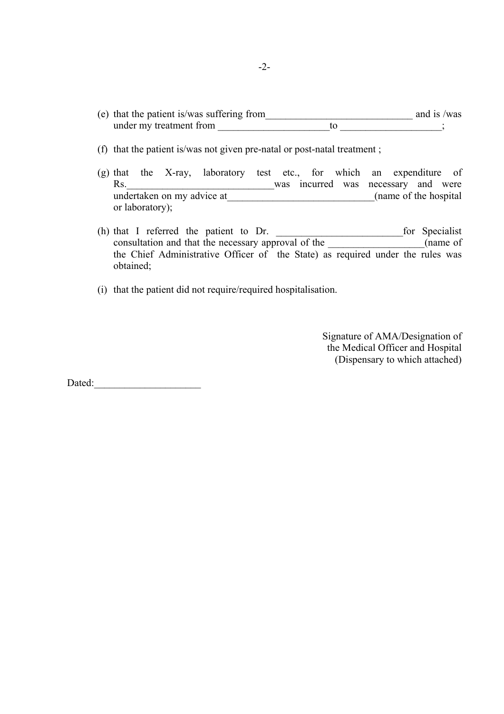- (e) that the patient is/was suffering from\_\_\_\_\_\_\_\_\_\_\_\_\_\_\_\_\_\_\_\_\_\_\_\_\_\_\_\_\_ and is /was under my treatment from  $\overline{a}$   $\overline{b}$   $\overline{c}$   $\overline{d}$   $\overline{d}$   $\overline{d}$   $\overline{d}$   $\overline{d}$   $\overline{d}$   $\overline{d}$   $\overline{d}$   $\overline{d}$   $\overline{d}$   $\overline{d}$   $\overline{d}$   $\overline{d}$   $\overline{d}$   $\overline{d}$   $\overline{d}$   $\overline{d}$   $\overline{d}$   $\overline{d}$
- (f) that the patient is/was not given pre-natal or post-natal treatment ;
- (g) that the X-ray, laboratory test etc., for which an expenditure of Rs. <u>\_\_\_\_\_\_\_\_\_\_\_\_\_\_\_\_\_\_\_\_\_\_\_\_\_\_\_\_</u>\_was incurred was necessary and were undertaken on my advice at\_\_\_\_\_\_\_\_\_\_\_\_\_\_\_\_\_\_\_\_\_\_\_\_\_\_\_\_\_(name of the hospital or laboratory);
- (h) that I referred the patient to Dr. \_\_\_\_\_\_\_\_\_\_\_\_\_\_\_\_\_\_\_\_\_\_\_\_\_for Specialist consultation and that the necessary approval of the \_\_\_\_\_\_\_\_\_\_\_\_\_\_\_\_\_(name of the Chief Administrative Officer of the State) as required under the rules was obtained;
- (i) that the patient did not require/required hospitalisation.

Signature of AMA/Designation of the Medical Officer and Hospital (Dispensary to which attached)

Dated:\_\_\_\_\_\_\_\_\_\_\_\_\_\_\_\_\_\_\_\_\_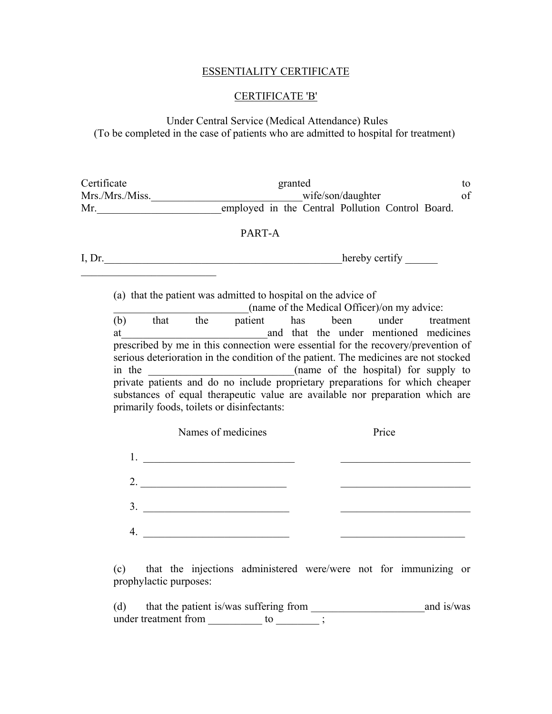#### ESSENTIALITY CERTIFICATE

#### CERTIFICATE 'B'

Under Central Service (Medical Attendance) Rules (To be completed in the case of patients who are admitted to hospital for treatment)

Certificate to granted to to the granted to the set of the set of the set of the set of the set of the set of the set of the set of the set of the set of the set of the set of the set of the set of the set of the set of th Mrs./Mrs./Miss.\_\_\_\_\_\_\_\_\_\_\_\_\_\_\_\_\_\_\_\_\_\_\_\_\_\_\_\_\_\_\_\_\_\_wife/son/daughter of Mr.\_\_\_\_\_\_\_\_\_\_\_\_\_\_\_\_\_\_\_\_\_\_\_employed in the Central Pollution Control Board.

## PART-A

I, Dr.\_\_\_\_\_\_\_\_\_\_\_\_\_\_\_\_\_\_\_\_\_\_\_\_\_\_\_\_\_\_\_\_\_\_\_\_\_\_\_\_\_\_\_\_hereby certify \_\_\_\_\_\_  $\overline{\phantom{a}}$  , which is a set of the set of the set of the set of the set of the set of the set of the set of the set of the set of the set of the set of the set of the set of the set of the set of the set of the set of th

(a) that the patient was admitted to hospital on the advice of

\_\_\_\_\_\_\_\_\_\_\_\_\_\_\_\_\_\_\_\_\_\_\_\_\_(name of the Medical Officer)/on my advice:

(b) that the patient has been under treatment at and that the under mentioned medicines prescribed by me in this connection were essential for the recovery/prevention of serious deterioration in the condition of the patient. The medicines are not stocked in the contract the hospital of the hospital for supply to private patients and do no include proprietary preparations for which cheaper substances of equal therapeutic value are available nor preparation which are primarily foods, toilets or disinfectants:

|    | Names of medicines | Price |  |
|----|--------------------|-------|--|
|    |                    |       |  |
| 2. |                    |       |  |
| 3. |                    |       |  |
|    |                    |       |  |

(c) that the injections administered were/were not for immunizing or prophylactic purposes:

(d) that the patient is/was suffering from \_\_\_\_\_\_\_\_\_\_\_\_\_\_\_\_\_\_\_\_\_and is/was under treatment from \_\_\_\_\_\_\_\_\_\_ to \_\_\_\_\_\_\_\_\_;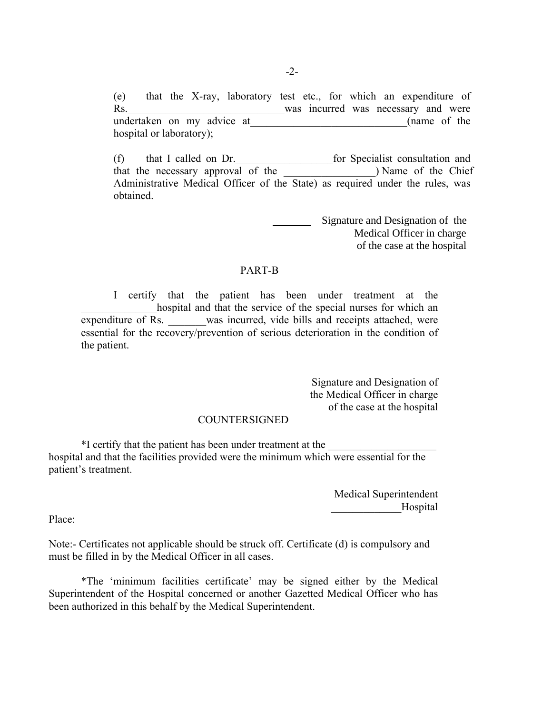(e) that the X-ray, laboratory test etc., for which an expenditure of Rs. Was incurred was necessary and were undertaken on my advice at (name of the hospital or laboratory);

(f) that I called on Dr.\_\_\_\_\_\_\_\_\_\_\_\_\_\_\_\_\_\_for Specialist consultation and that the necessary approval of the the Chief and the Chief and the Chief and the Chief and the Chief and the Chief and the Chief and the Chief and the Chief and the Chief and the Chief and the Chief and the Chief and the C Administrative Medical Officer of the State) as required under the rules, was obtained.

> Signature and Designation of the Medical Officer in charge of the case at the hospital

#### PART-B

 I certify that the patient has been under treatment at the hospital and that the service of the special nurses for which an expenditure of Rs. was incurred, vide bills and receipts attached, were essential for the recovery/prevention of serious deterioration in the condition of the patient.

> Signature and Designation of the Medical Officer in charge of the case at the hospital

#### **COUNTERSIGNED**

 \*I certify that the patient has been under treatment at the \_\_\_\_\_\_\_\_\_\_\_\_\_\_\_\_\_\_\_\_ hospital and that the facilities provided were the minimum which were essential for the patient's treatment.

> Medical Superintendent \_\_\_\_\_\_\_\_\_\_\_\_\_Hospital

Place:

Note:- Certificates not applicable should be struck off. Certificate (d) is compulsory and must be filled in by the Medical Officer in all cases.

 \*The 'minimum facilities certificate' may be signed either by the Medical Superintendent of the Hospital concerned or another Gazetted Medical Officer who has been authorized in this behalf by the Medical Superintendent.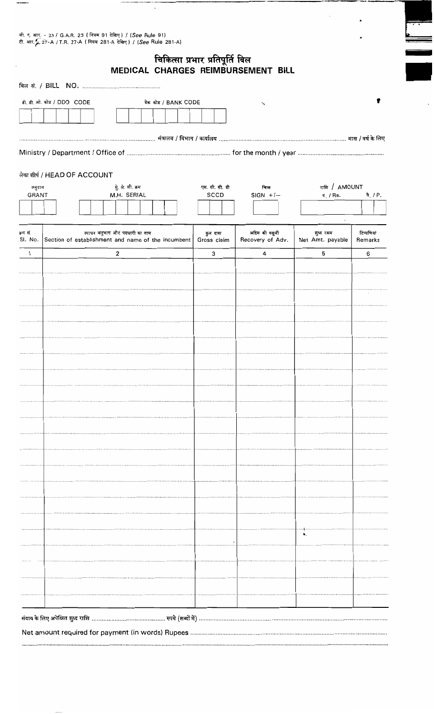जी. ए. आर. - 23 / G.A.R. 23 (नियम 91 देखिए) / (*See* Rule 91)<br>टी. आर. - 27-A / T.R. 27-A (नियम 281-A देखिए) / (*See* Rule 281-A)

चिकित्सा प्रभार प्रतिपूर्ति बिल<br>MEDICAL CHARGES REIMBURSEMENT BILL

 $\sim$ 

 $\hat{\textbf{a}}$ 

 $\cdot$ 

| डी. डी. ओ. कोड / DDO CODE    |  |                                                    |                                |                                  |  | बेंक कोड / BANK CODE |  |             |                        | $\cdot$                                                                                         |  |                               |                                                  |                              |
|------------------------------|--|----------------------------------------------------|--------------------------------|----------------------------------|--|----------------------|--|-------------|------------------------|-------------------------------------------------------------------------------------------------|--|-------------------------------|--------------------------------------------------|------------------------------|
|                              |  |                                                    |                                |                                  |  |                      |  |             |                        |                                                                                                 |  |                               |                                                  |                              |
|                              |  |                                                    |                                |                                  |  |                      |  |             |                        |                                                                                                 |  |                               |                                                  |                              |
|                              |  |                                                    |                                |                                  |  |                      |  |             |                        | ………………………………………………………………… मंत्रालय / विभाग / कार्यालय …………………………………………………………… मास / वर्ष के लिए |  |                               |                                                  |                              |
|                              |  |                                                    |                                |                                  |  |                      |  |             |                        |                                                                                                 |  |                               |                                                  |                              |
|                              |  |                                                    |                                |                                  |  |                      |  |             |                        |                                                                                                 |  |                               |                                                  |                              |
| लेखा शीर्ष / HEAD OF ACCOUNT |  |                                                    |                                |                                  |  |                      |  |             |                        |                                                                                                 |  |                               |                                                  |                              |
| अनुदान<br>GRANT              |  |                                                    |                                | मुे. ले. शी. क्रम<br>M.H. SERIAL |  |                      |  |             | एस. सी. सी. डी<br>SCCD | चिन्ह<br>$SIGN + / -$                                                                           |  |                               | राशि / AMOUNT<br>$\overline{\mathfrak{r}}$ / Rs. | $\hat{\mathbf{q}}$ , $/ P$ . |
|                              |  |                                                    |                                |                                  |  |                      |  |             |                        |                                                                                                 |  |                               |                                                  |                              |
|                              |  |                                                    |                                |                                  |  |                      |  |             |                        |                                                                                                 |  |                               |                                                  |                              |
| क्रम सं.<br>SI. No.          |  | Section of establishment and name of the incumbent | स्थापन अनुभाग और पदधारी का नाम |                                  |  |                      |  | Gross claim | कुल दावा               | अग्रिम की वसूली<br>Recovery of Adv.                                                             |  | शुध्द रकम<br>Net Amt. payable |                                                  | टिप्पणियां<br>Remarks        |
| $\mathbf{1}$                 |  |                                                    |                                | $\mathbf{2}$                     |  |                      |  |             | 3                      | 4                                                                                               |  | 5                             |                                                  | 6                            |
|                              |  |                                                    |                                |                                  |  |                      |  |             |                        |                                                                                                 |  |                               |                                                  |                              |
|                              |  |                                                    |                                |                                  |  |                      |  |             |                        |                                                                                                 |  |                               |                                                  |                              |
|                              |  |                                                    |                                |                                  |  |                      |  |             |                        |                                                                                                 |  |                               |                                                  |                              |
|                              |  |                                                    |                                |                                  |  |                      |  |             |                        |                                                                                                 |  |                               |                                                  |                              |
|                              |  |                                                    |                                |                                  |  |                      |  |             |                        |                                                                                                 |  |                               |                                                  |                              |
|                              |  |                                                    |                                |                                  |  |                      |  |             |                        |                                                                                                 |  |                               |                                                  |                              |
|                              |  |                                                    |                                |                                  |  |                      |  |             |                        |                                                                                                 |  |                               |                                                  |                              |
|                              |  |                                                    |                                |                                  |  |                      |  |             |                        |                                                                                                 |  |                               |                                                  |                              |
|                              |  |                                                    |                                |                                  |  |                      |  |             |                        |                                                                                                 |  |                               |                                                  |                              |
|                              |  |                                                    |                                |                                  |  |                      |  |             |                        |                                                                                                 |  |                               |                                                  |                              |
|                              |  |                                                    |                                |                                  |  |                      |  |             |                        |                                                                                                 |  |                               |                                                  |                              |
|                              |  |                                                    |                                |                                  |  |                      |  |             |                        |                                                                                                 |  |                               |                                                  |                              |
|                              |  |                                                    |                                |                                  |  |                      |  |             |                        |                                                                                                 |  |                               |                                                  |                              |
|                              |  |                                                    |                                |                                  |  |                      |  |             |                        |                                                                                                 |  |                               |                                                  |                              |
|                              |  |                                                    |                                |                                  |  |                      |  |             |                        |                                                                                                 |  |                               |                                                  |                              |
|                              |  |                                                    |                                |                                  |  |                      |  |             |                        |                                                                                                 |  |                               |                                                  |                              |
|                              |  |                                                    |                                |                                  |  |                      |  |             |                        |                                                                                                 |  |                               |                                                  |                              |
|                              |  |                                                    |                                |                                  |  |                      |  |             |                        |                                                                                                 |  |                               |                                                  |                              |
|                              |  |                                                    |                                |                                  |  |                      |  |             |                        |                                                                                                 |  |                               |                                                  |                              |
|                              |  |                                                    |                                |                                  |  |                      |  |             |                        |                                                                                                 |  |                               |                                                  |                              |
|                              |  |                                                    |                                |                                  |  |                      |  |             |                        |                                                                                                 |  |                               |                                                  |                              |
|                              |  |                                                    |                                |                                  |  |                      |  |             |                        |                                                                                                 |  |                               |                                                  |                              |
|                              |  |                                                    |                                |                                  |  |                      |  |             |                        |                                                                                                 |  |                               |                                                  |                              |
|                              |  |                                                    |                                |                                  |  |                      |  |             |                        |                                                                                                 |  |                               |                                                  |                              |
|                              |  |                                                    |                                |                                  |  |                      |  |             |                        |                                                                                                 |  |                               |                                                  |                              |
|                              |  |                                                    |                                |                                  |  |                      |  |             |                        |                                                                                                 |  |                               |                                                  |                              |
|                              |  |                                                    |                                |                                  |  |                      |  |             |                        |                                                                                                 |  |                               |                                                  |                              |
|                              |  |                                                    |                                |                                  |  |                      |  |             |                        |                                                                                                 |  |                               |                                                  |                              |